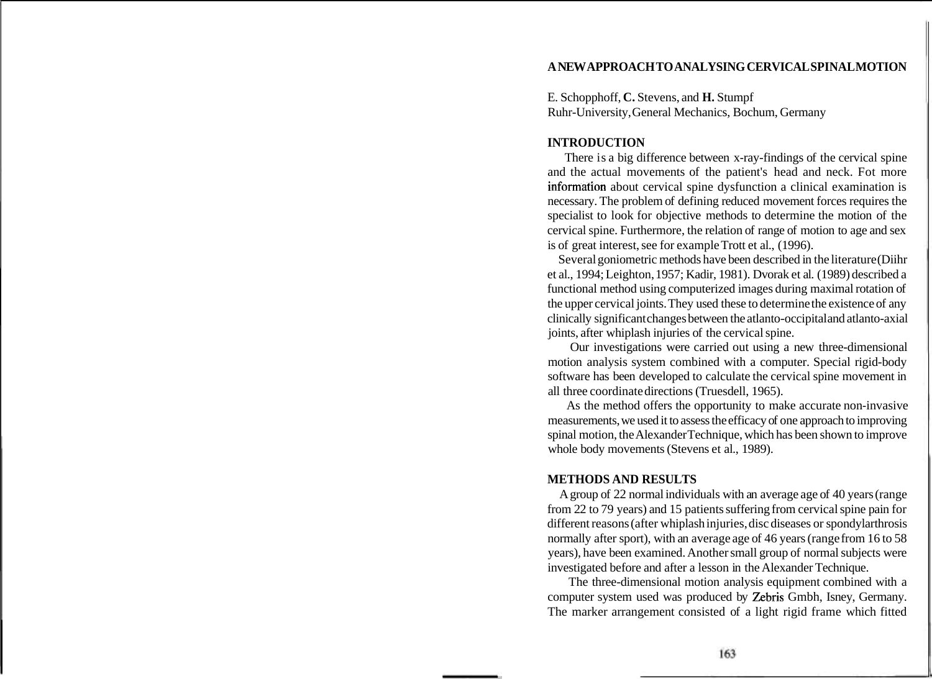## **A NEW APPROACH TO ANALYSING CERVICAL SPINAL MOTION**

E. Schopphoff, **C.** Stevens, and **H.** Stumpf Ruhr-University, General Mechanics, Bochum, Germany

### **INTRODUCTION**

There is a big difference between x-ray-findings of the cervical spine and the actual movements of the patient's head and neck. Fot more information about cervical spine dysfunction a clinical examination is necessary. The problem of defining reduced movement forces requires the specialist to look for objective methods to determine the motion of the cervical spine. Furthermore, the relation of range of motion to age and sex is of great interest, see for example Trott et al., (1996).

Several goniometric methods have been described in the literature (Diihr et al., 1994; Leighton, 1957; Kadir, 1981). Dvorak et al. (1989) described a functional method using computerized images during maximal rotation of the upper cervical joints. They used these to determine the existence of any clinically significant changes between the atlanto-occipital and atlanto-axial joints, after whiplash injuries of the cervical spine.

Our investigations were carried out using a new three-dimensional motion analysis system combined with a computer. Special rigid-body software has been developed to calculate the cervical spine movement in all three coordinate directions (Truesdell, 1965).

As the method offers the opportunity to make accurate non-invasive measurements, we used it to assess the efficacy of one approach to improving spinal motion, the Alexander Technique, which has been shown to improve whole body movements (Stevens et al., 1989).

### **METHODS AND RESULTS**

A group of 22 normal individuals with an average age of 40 years (range from 22 to 79 years) and 15 patients suffering from cervical spine pain for different reasons (after whiplash injuries, disc diseases or spondylarthrosis normally after sport), with an average age of 46 years (range from 16 to 58 years), have been examined. Another small group of normal subjects were investigated before and after a lesson in the Alexander Technique.

The three-dimensional motion analysis equipment combined with a computer system used was produced by Zebris Gmbh, Isney, Germany. The marker arrangement consisted of a light rigid frame which fitted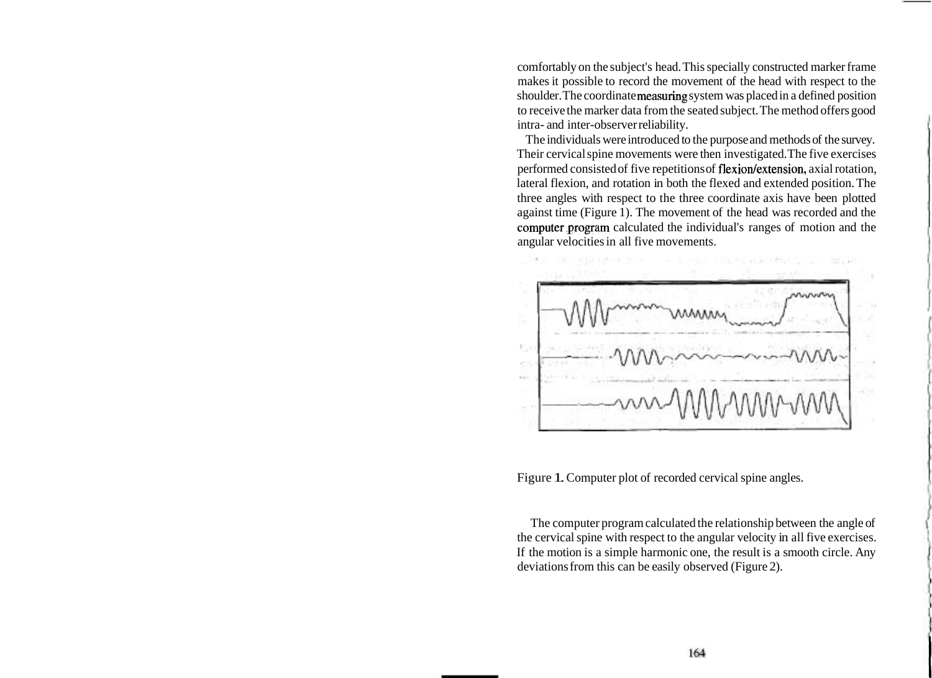comfortably on the subject's head. This specially constructed marker frame makes it possible to record the movement of the head with respect to the shoulder. The coordinate measuring system was placed in a defined position to receive the marker data from the seated subject. The method offers good intra- and inter-observer reliability.

The individuals were introduced to the purpose and methods of the survey. Their cervical spine movements were then investigated. The five exercises performed consisted of five repetitions of flexion/extension, axial rotation, lateral flexion, and rotation in both the flexed and extended position. The three angles with respect to the three coordinate axis have been plotted against time (Figure 1). The movement of the head was recorded and the computer,program calculated the individual's ranges of motion and the angular velocities in all five movements.



Figure 1. Computer plot of recorded cervical spine angles.

The computer program calculated the relationship between the angle of the cervical spine with respect to the angular velocity in all five exercises. If the motion is a simple harmonic one, the result is a smooth circle. Any deviations from this can be easily observed (Figure 2).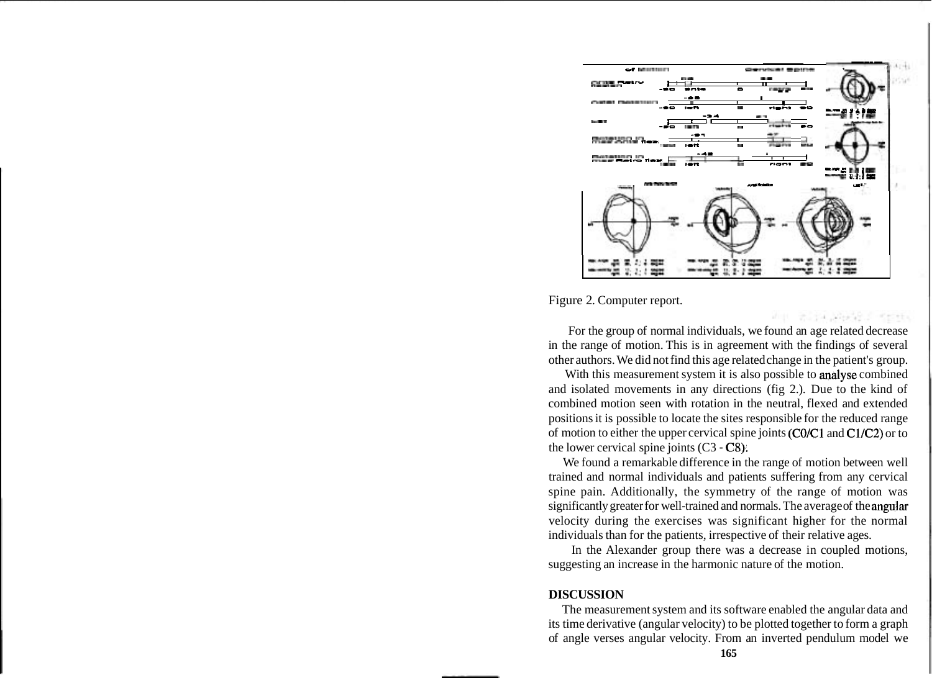

Figure 2. Computer report.

For the group of normal individuals, we found an age related decrease in the range of motion. This is in agreement with the findings of several other authors. We did not find this age related change in the patient's group.

alia Magarita

With this measurement system it is also possible to analyse combined and isolated movements in any directions (fig 2.). Due to the kind of combined motion seen with rotation in the neutral, flexed and extended positions it is possible to locate the sites responsible for the reduced range of motion to either the upper cervical spine joints  $(C0/C1$  and  $C1/C2$ ) or to the lower cervical spine joints  $(C3 - C8)$ .

We found a remarkable difference in the range of motion between well trained and normal individuals and patients suffering from any cervical spine pain. Additionally, the symmetry of the range of motion was significantly greater for well-trained and normals. The average of the angular velocity during the exercises was significant higher for the normal individuals than for the patients, irrespective of their relative ages.

In the Alexander group there was a decrease in coupled motions, suggesting an increase in the harmonic nature of the motion.

### **DISCUSSION**

The measurement system and its software enabled the angular data and its time derivative (angular velocity) to be plotted together to form a graph of angle verses angular velocity. From an inverted pendulum model we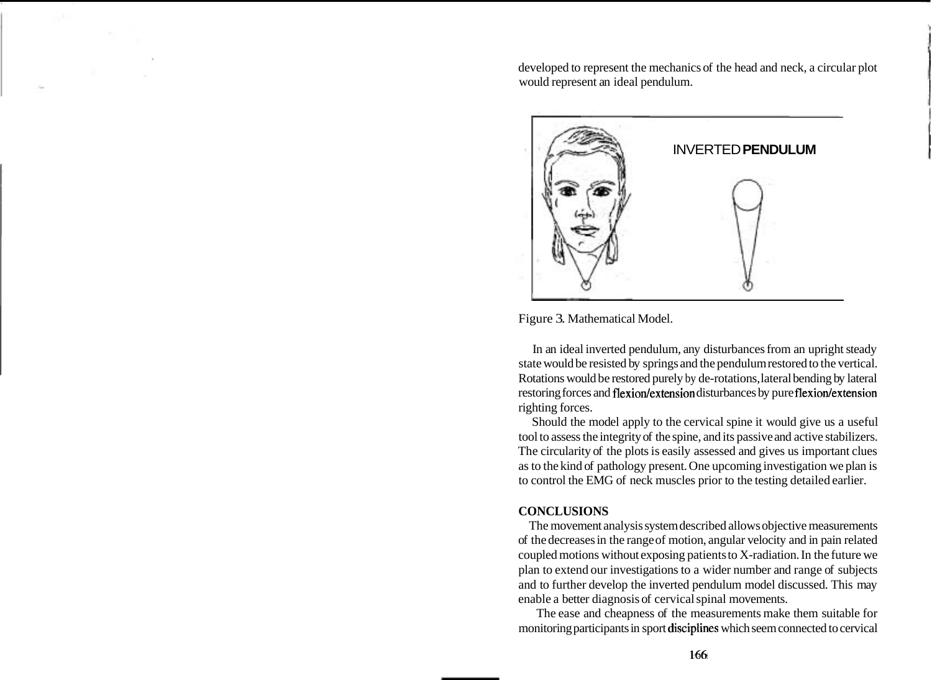developed to represent the mechanics of the head and neck, a circular plot would represent an ideal pendulum.



Figure 3. Mathematical Model.

In an ideal inverted pendulum, any disturbances from an upright steady state would be resisted by springs and the pendulum restored to the vertical. Rotations would be restored purely by de-rotations, lateral bending by lateral restoring forces and flexion/extension disturbances by pure flexion/extension righting forces.

Should the model apply to the cervical spine it would give us a useful tool to assess the integrity of the spine, and its passive and active stabilizers. The circularity of the plots is easily assessed and gives us important clues as to the kind of pathology present. One upcoming investigation we plan is to control the EMG of neck muscles prior to the testing detailed earlier.

# **CONCLUSIONS**

The movement analysis system described allows objective measurements of the decreases in the range of motion, angular velocity and in pain related coupled motions without exposing patients to X-radiation. In the future we plan to extend our investigations to a wider number and range of subjects and to further develop the inverted pendulum model discussed. This may enable a better diagnosis of cervical spinal movements.

The ease and cheapness of the measurements make them suitable for monitoring participants in sport disciplines which seem connected to cervical